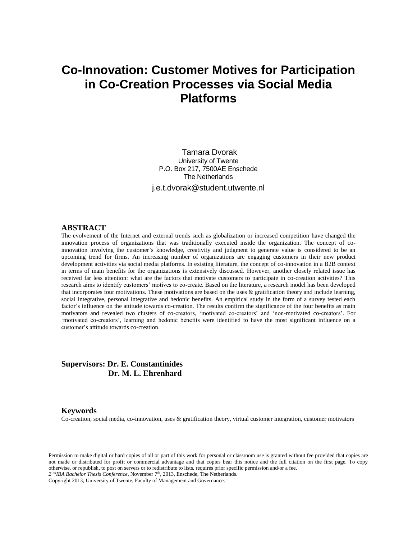# **Co-Innovation: Customer Motives for Participation in Co-Creation Processes via Social Media Platforms**

Tamara Dvorak University of Twente P.O. Box 217, 7500AE Enschede The Netherlands j.e.t.dvorak@student.utwente.nl

#### **ABSTRACT**

The evolvement of the Internet and external trends such as globalization or increased competition have changed the innovation process of organizations that was traditionally executed inside the organization. The concept of coinnovation involving the customer's knowledge, creativity and judgment to generate value is considered to be an upcoming trend for firms. An increasing number of organizations are engaging customers in their new product development activities via social media platforms. In existing literature, the concept of co-innovation in a B2B context in terms of main benefits for the organizations is extensively discussed. However, another closely related issue has received far less attention: what are the factors that motivate customers to participate in co-creation activities? This research aims to identify customers' motives to co-create. Based on the literature, a research model has been developed that incorporates four motivations. These motivations are based on the uses & gratification theory and include learning, social integrative, personal integrative and hedonic benefits. An empirical study in the form of a survey tested each factor's influence on the attitude towards co-creation. The results confirm the significance of the four benefits as main motivators and revealed two clusters of co-creators, 'motivated co-creators' and 'non-motivated co-creators'. For 'motivated co-creators', learning and hedonic benefits were identified to have the most significant influence on a customer's attitude towards co-creation.

# **Supervisors: Dr. E. Constantinides Dr. M. L. Ehrenhard**

#### **Keywords**

Co-creation, social media, co-innovation, uses & gratification theory, virtual customer integration, customer motivators

Permission to make digital or hard copies of all or part of this work for personal or classroom use is granted without fee provided that copies are not made or distributed for profit or commercial advantage and that copies bear this notice and the full citation on the first page. To copy otherwise, or republish, to post on servers or to redistribute to lists, requires prior specific permission and/or a fee.

2<sup>nd</sup>IBA Bachelor Thesis Conference, November 7<sup>th</sup>, 2013, Enschede, The Netherlands.

Copyright 2013, University of Twente, Faculty of Management and Governance.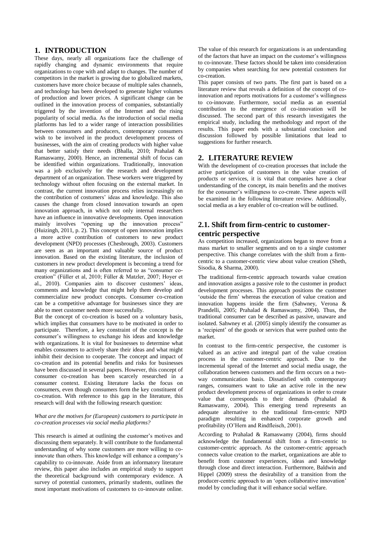# **1. INTRODUCTION**

These days, nearly all organizations face the challenge of rapidly changing and dynamic environments that require organizations to cope with and adapt to changes. The number of competitors in the market is growing due to globalized markets, customers have more choice because of multiple sales channels, and technology has been developed to generate higher volumes of production and lower prices. A significant change can be outlined in the innovation process of companies, substantially triggered by the invention of the Internet and the rising popularity of social media. As the introduction of social media platforms has led to a wider range of interaction possibilities between consumers and producers, contemporary consumers wish to be involved in the product development process of businesses, with the aim of creating products with higher value that better satisfy their needs (Bhalla, 2010; Prahalad & Ramaswamy, 2000). Hence, an incremental shift of focus can be identified within organizations. Traditionally, innovation was a job exclusively for the research and development department of an organization. These workers were triggered by technology without often focusing on the external market. In contrast, the current innovation process relies increasingly on the contribution of costumers' ideas and knowledge. This also causes the change from closed innovation towards an open innovation approach, in which not only internal researchers have an influence in innovative developments. Open innovation mainly involves "opening up the innovation process" (Huizingh, 2011, p. 2). This concept of open innovation implies a more active contribution of customers to new product development (NPD) processes (Chesbrough, 2003). Customers are seen as an important and valuable source of product innovation. Based on the existing literature, the inclusion of customers in new product development is becoming a trend for many organizations and is often referred to as "consumer cocreation" (Füller et al, 2010; Füller & Matzler, 2007; Hoyer et al., 2010). Companies aim to discover customers' ideas, comments and knowledge that might help them develop and commercialize new product concepts. Consumer co-creation can be a competitive advantage for businesses since they are able to meet customer needs more successfully.

But the concept of co-creation is based on a voluntary basis, which implies that consumers have to be motivated in order to participate. Therefore, a key constraint of the concept is the consumer's willingness to exchange his ideas and knowledge with organizations. It is vital for businesses to determine what enables consumers to actively share their ideas and what might inhibit their decision to cooperate. The concept and impact of co-creation and its potential benefits and risks for businesses have been discussed in several papers. However, this concept of consumer co-creation has been scarcely researched in a consumer context. Existing literature lacks the focus on consumers, even though consumers form the key constituent of co-creation. With reference to this gap in the literature, this research will deal with the following research question:

#### *What are the motives for (European) customers to participate in co-creation processes via social media platforms?*

This research is aimed at outlining the customer's motives and discussing them separately. It will contribute to the fundamental understanding of why some customers are more willing to coinnovate than others. This knowledge will enhance a company's capability to co-innovate. Aside from an informatory literature review, this paper also includes an empirical study to support the theoretical background with contemporary evidence. A survey of potential customers, primarily students, outlines the most important motivations of customers to co-innovate online.

The value of this research for organizations is an understanding of the factors that have an impact on the customer's willingness to co-innovate. These factors should be taken into consideration by companies when searching for new potential customers for co-creation.

This paper consists of two parts. The first part is based on a literature review that reveals a definition of the concept of coinnovation and reports motivations for a customer's willingness to co-innovate. Furthermore, social media as an essential contribution to the emergence of co-innovation will be discussed. The second part of this research investigates the empirical study, including the methodology and report of the results. This paper ends with a substantial conclusion and discussion followed by possible limitations that lead to suggestions for further research.

# **2. LITERATURE REVIEW**

With the development of co-creation processes that include the active participation of customers in the value creation of products or services, it is vital that companies have a clear understanding of the concept, its main benefits and the motives for the consumer's willingness to co-create. These aspects will be examined in the following literature review. Additionally, social media as a key enabler of co-creation will be outlined.

# **2.1. Shift from firm-centric to customercentric perspective**

As competition increased, organizations began to move from a mass market to smaller segments and on to a single customer perspective. This change correlates with the shift from a firmcentric to a customer-centric view about value creation (Sheth, Sisodia, & Sharma, 2000).

The traditional firm-centric approach towards value creation and innovation assigns a passive role to the customer in product development processes. This approach positions the customer 'outside the firm' whereas the execution of value creation and innovation happens inside the firm (Sahwney, Verona & Prandelli, 2005; Prahalad & Ramaswamy, 2004). Thus, the traditional consumer can be described as passive, unaware and isolated. Sahwney et al. (2005) simply identify the consumer as a 'recipient' of the goods or services that were pushed onto the market.

In contrast to the firm-centric perspective, the customer is valued as an active and integral part of the value creation process in the customer-centric approach. Due to the incremental spread of the Internet and social media usage, the collaboration between customers and the firm occurs on a twoway communication basis. Dissatisfied with contemporary ranges, consumers want to take an active role in the new product development process of organizations in order to create value that corresponds to their demands (Prahalad & Ramaswamy, 2004). This emerging trend represents an adequate alternative to the traditional firm-centric NPD paradigm resulting in enhanced corporate growth and profitability (O'Hern and Rindfleisch, 2001).

According to Prahalad & Ramaswamy (2004), firms should acknowledge the fundamental shift from a firm-centric to customer-centric approach. As the customer-centric approach connects value creation to the market, organizations are able to benefit from customer experiences, ideas and knowledge through close and direct interaction. Furthermore, Baldwin and Hippel (2009) stress the desirability of a transition from the producer-centric approach to an 'open collaborative innovation' model by concluding that it will enhance social welfare.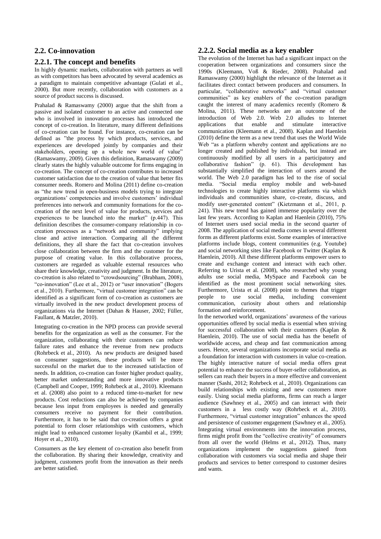# **2.2. Co-innovation**

# **2.2.1. The concept and benefits**

In highly dynamic markets, collaboration with partners as well as with competitors has been advocated by several academics as a paradigm to maintain competitive advantage (Gulati et al., 2000). But more recently, collaboration with customers as a source of product success is discussed.

Prahalad & Ramaswamy (2000) argue that the shift from a passive and isolated customer to an active and connected one who is involved in innovation processes has introduced the concept of co-creation. In literature, many different definitions of co-creation can be found. For instance, co-creation can be defined as "the process by which products, services, and experiences are developed jointly by companies and their stakeholders, opening up a whole new world of value" (Ramaswamy, 2009). Given this definition, Ramaswamy (2009) clearly states the highly valuable outcome for firms engaging in co-creation. The concept of co-creation contributes to increased customer satisfaction due to the creation of value that better fits consumer needs. Romero and Molina (2011) define co-creation as "the new trend in open-business models trying to integrate organizations' competencies and involve customers' individual preferences into network and community formations for the cocreation of the next level of value for products, services and experiences to be launched into the market" (p.447). This definition describes the consumer-company relationship in cocreation processes as a "network and community" implying close and active interaction. Comparing all the different definitions, they all share the fact that co-creation involves close collaboration between the firm and the customer for the purpose of creating value. In this collaborative process, customers are regarded as valuable external resources who share their knowledge, creativity and judgment. In the literature, co-creation is also related to "crowdsourcing" (Brabham, 2008), "co-innovation" (Lee et al., 2012) or "user innovation" (Bogers et al., 2010). Furthermore, "virtual customer integration" can be identified as a significant form of co-creation as customers are virtually involved in the new product development process of organizations via the Internet (Dahan & Hauser, 2002; Füller, Faullant, & Matzler, 2010).

Integrating co-creation in the NPD process can provide several benefits for the organization as well as the consumer. For the organization, collaborating with their customers can reduce failure rates and enhance the revenue from new products (Rohrbeck et al., 2010). As new products are designed based on consumer suggestions, these products will be more successful on the market due to the increased satisfaction of needs. In addition, co-creation can foster higher product quality, better market understanding and more innovative products (Campbell and Cooper, 1999; Rohrbeck at al., 2010). Kleemann et al. (2008) also point to a reduced time-to-market for new products. Cost reductions can also be achieved by companies because less input from employees is needed and generally consumers receive no payment for their contribution. Furthermore, it has to be said that co-creation offers a great potential to form closer relationships with customers, which might lead to enhanced customer lovalty (Kambil et al., 1999; Hoyer et al., 2010).

Consumers as the key element of co-creation also benefit from the collaboration. By sharing their knowledge, creativity and judgment, customers profit from the innovation as their needs are better satisfied.

### **2.2.2. Social media as a key enabler**

The evolution of the Internet has had a significant impact on the cooperation between organizations and consumers since the 1990s (Kleemann, Voß & Rieder, 2008). Prahalad and Ramaswamy (2000) highlight the relevance of the Internet as it facilitates direct contact between producers and consumers. In particular, "collaborative networks" and "virtual customer communities" as key enablers of the co-creation paradigm caught the interest of many academics recently (Romero & Molina, 2011). These networks are an outcome of the introduction of Web 2.0. Web 2.0 alludes to Internet applications that enable and stimulate interactive communication (Kleemann et al., 2008). Kaplan and Haenlein (2010) define the term as a new trend that uses the World Wide Web "as a platform whereby content and applications are no longer created and published by individuals, but instead are continuously modified by all users in a participatory and collaborative fashion" (p. 61). This development has substantially simplified the interaction of users around the world. The Web 2.0 paradigm has led to the rise of social media. "Social media employ mobile and web-based technologies to create highly interactive platforms via which individuals and communities share, co-create, discuss, and modify user-generated content" (Kietzmann et al., 2011, p. 241). This new trend has gained immense popularity over the last few years. According to Kaplan and Haenlein (2010), 75% of Internet users used social media in the second quarter of 2008. The application of social media comes in several different forms as different platforms exist. Some examples of interactive platforms include blogs, content communities (e.g. Youtube) and social networking sites like Facebook or Twitter (Kaplan & Haenlein, 2010). All these different platforms empower users to create and exchange content and interact with each other. Referring to Urista et al. (2008), who researched why young adults use social media, MySpace and Facebook can be identified as the most prominent social networking sites. Furthermore, Urista et al. (2008) point to themes that trigger people to use social media, including convenient communication, curiosity about others and relationship formation and reinforcement.

In the networked world, organizations' awareness of the various opportunities offered by social media is essential when striving for successful collaboration with their customers (Kaplan & Haenlein, 2010). The use of social media has the benefit of worldwide access, and cheap and fast communication among users. Hence, several organizations incorporate social media as a foundation for interaction with customers in value co-creation. The highly interactive nature of social media offers great potential to enhance the success of buyer-seller collaboration, as sellers can reach their buyers in a more effective and convenient manner (Sashi, 2012; Rohrbeck et al., 2010). Organizations can build relationships with existing and new customers more easily. Using social media platforms, firms can reach a larger audience (Sawhney et al., 2005) and can interact with their customers in a less costly way (Rohrbeck et al., 2010). Furthermore, "virtual customer integration" enhances the speed and persistence of customer engagement (Sawhney et al., 2005). Integrating virtual environments into the innovation process, firms might profit from the "collective creativity" of consumers from all over the world (Helms et al., 2012). Thus, many organizations implement the suggestions gained from collaboration with customers via social media and shape their products and services to better correspond to customer desires and wants.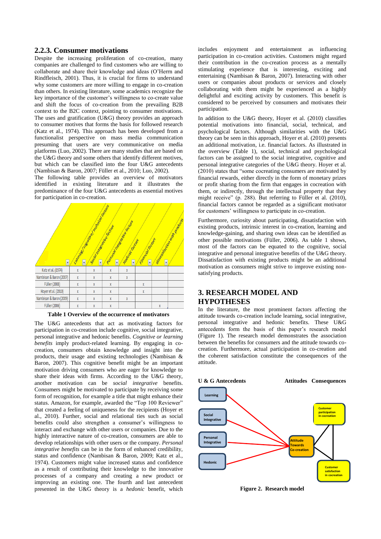#### **2.2.3. Consumer motivations**

Despite the increasing proliferation of co-creation, many companies are challenged to find customers who are willing to collaborate and share their knowledge and ideas (O'Herrn and Rindfleisch, 2001). Thus, it is crucial for firms to understand why some customers are more willing to engage in co-creation than others. In existing literature, some academics recognize the key importance of the customer's willingness to co-create value and shift the focus of co-creation from the prevailing B2B context to the B2C context, pointing to consumer motivations. The uses and gratification  $(U&G)$  theory provides an approach to consumer motives that forms the basis for followed research (Katz et al., 1974). This approach has been developed from a functionalist perspective on mass media communication presuming that users are very communicative on media platforms (Luo, 2002). There are many studies that are based on the U&G theory and some others that identify different motives, but which can be classified into the four U&G antecedents (Nambisan & Baron, 2007; Füller et al., 2010; Luo, 2002).

The following table provides an overview of motivators identified in existing literature and it illustrates the predominance of the four U&G antecedents as essential motives for participation in co-creation.



**Table 1 Overview of the occurrence of motivators**

The U&G antecedents that act as motivating factors for participation in co-creation include cognitive, social integrative, personal integrative and hedonic benefits. *Cognitive or learning benefits* imply product-related learning. By engaging in cocreation, consumers obtain knowledge and insight into the products, their usage and existing technologies (Nambisan & Baron, 2007). This cognitive benefit might be an important motivation driving consumers who are eager for knowledge to share their ideas with firms. According to the U&G theory, another motivation can be *social integrative* benefits. Consumers might be motivated to participate by receiving some form of recognition, for example a title that might enhance their status. Amazon, for example, awarded the "Top 100 Reviewer" that created a feeling of uniqueness for the recipients (Hoyer et al., 2010). Further, social and relational ties such as social benefits could also strengthen a consumer's willingness to interact and exchange with other users or companies. Due to the highly interactive nature of co-creation, consumers are able to develop relationships with other users or the company. *Personal integrative benefits* can be in the form of enhanced credibility, status and confidence (Nambisan & Baron, 2009; Katz et al., 1974). Customers might value increased status and confidence as a result of contributing their knowledge to the innovative processes of a company and creating a new product or improving an existing one. The fourth and last antecedent presented in the U&G theory is a *hedonic* benefit, which

includes enjoyment and entertainment as influencing participation in co-creation activities. Customers might regard their contribution in the co-creation process as a mentally stimulating experience that is interesting, exciting and entertaining (Nambisan & Baron, 2007). Interacting with other users or companies about products or services and closely collaborating with them might be experienced as a highly delightful and exciting activity by customers. This benefit is considered to be perceived by consumers and motivates their participation.

In addition to the U&G theory, Hoyer et al. (2010) classifies potential motivations into financial, social, technical, and psychological factors. Although similarities with the U&G theory can be seen in this approach, Hoyer et al. (2010) presents an additional motivation, i.e. financial factors. As illustrated in the overview (Table 1), social, technical and psychological factors can be assigned to the social integrative, cognitive and personal integrative categories of the U&G theory. Hoyer et al. (2010) states that "some cocreating consumers are motivated by financial rewards, either directly in the form of monetary prizes or profit sharing from the firm that engages in cocreation with them, or indirectly, through the intellectual property that they might receive" (p. 288). But referring to Füller et al. (2010), financial factors cannot be regarded as a significant motivator for customers' willingness to participate in co-creation.

Furthermore, curiosity about participating, dissatisfaction with existing products, intrinsic interest in co-creation, learning and knowledge-gaining, and sharing own ideas can be identified as other possible motivations (Füller, 2006). As table 1 shows, most of the factors can be equated to the cognitive, social integrative and personal integrative benefits of the U&G theory. Dissatisfaction with existing products might be an additional motivation as consumers might strive to improve existing nonsatisfying products.

# **3. RESEARCH MODEL AND HYPOTHESES**

In the literature, the most prominent factors affecting the attitude towards co-creation include learning, social integrative, personal integrative and hedonic benefits. These U&G antecedents form the basis of this paper's research model (Figure 1). The research model demonstrates the association between the benefits for consumers and the attitude towards cocreation. Furthermore, actual participation in co-creation and the coherent satisfaction constitute the consequences of the attitude.



**Figure 2. Research model**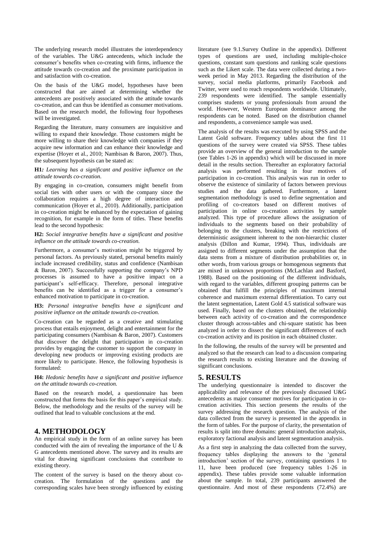The underlying research model illustrates the interdependency of the variables. The U&G antecedents, which include the consumer's benefits when co-creating with firms, influence the attitude towards co-creation and the proximate participation in and satisfaction with co-creation.

On the basis of the U&G model, hypotheses have been constructed that are aimed at determining whether the antecedents are positively associated with the attitude towards co-creation, and can thus be identified as consumer motivations. Based on the research model, the following four hypotheses will be investigated.

Regarding the literature, many consumers are inquisitive and willing to expand their knowledge. Those customers might be more willing to share their knowledge with companies if they acquire new information and can enhance their knowledge and expertise (Hoyer et al., 2010; Nambisan & Baron, 2007). Thus, the subsequent hypothesis can be stated as:

#### **H1***: Learning has a significant and positive influence on the attitude towards co-creation.*

By engaging in co-creation, consumers might benefit from social ties with other users or with the company since the collaboration requires a high degree of interaction and communication (Hoyer et al., 2010). Additionally, participation in co-creation might be enhanced by the expectation of gaining recognition, for example in the form of titles. These benefits lead to the second hypothesis:

#### **H2:** *Social integrative benefits have a significant and positive influence on the attitude towards co-creation.*

Furthermore, a consumer's motivation might be triggered by personal factors. As previously stated, personal benefits mainly include increased credibility, status and confidence (Nambisan & Baron, 2007). Successfully supporting the company's NPD processes is assumed to have a positive impact on a participant's self-efficacy. Therefore, personal integrative benefits can be identified as a trigger for a consumer's enhanced motivation to participate in co-creation.

#### **H3:** *Personal integrative benefits have a significant and positive influence on the attitude towards co-creation.*

Co-creation can be regarded as a creative and stimulating process that entails enjoyment, delight and entertainment for the participating consumers (Nambisan & Baron, 2007). Customers that discover the delight that participation in co-creation provides by engaging the customer to support the company in developing new products or improving existing products are more likely to participate. Hence, the following hypothesis is formulated:

#### **H4:** *Hedonic benefits have a significant and positive influence on the attitude towards co-creation.*

Based on the research model, a questionnaire has been constructed that forms the basis for this paper's empirical study. Below, the methodology and the results of the survey will be outlined that lead to valuable conclusions at the end.

# **4. METHODOLOGY**

An empirical study in the form of an online survey has been conducted with the aim of revealing the importance of the U & G antecedents mentioned above. The survey and its results are vital for drawing significant conclusions that contribute to existing theory.

The content of the survey is based on the theory about cocreation. The formulation of the questions and the corresponding scales have been strongly influenced by existing literature (see 9.1.Survey Outline in the appendix). Different types of questions are used, including multiple-choice questions, constant sum questions and ranking scale questions such as the Likert scale. The data were collected during a twoweek period in May 2013. Regarding the distribution of the survey, social media platforms, primarily Facebook and Twitter, were used to reach respondents worldwide. Ultimately, 239 respondents were identified. The sample essentially comprises students or young professionals from around the world. However, Western European dominance among the respondents can be noted. Based on the distribution channel and respondents, a convenience sample was used.

The analysis of the results was executed by using SPSS and the Latent Gold software. Frequency tables about the first 11 questions of the survey were created via SPSS. These tables provide an overview of the general introduction to the sample (see Tables 1-26 in appendix) which will be discussed in more detail in the results section. Thereafter an exploratory factorial analysis was performed resulting in four motives of participation in co-creation. This analysis was run in order to observe the existence of similarity of factors between previous studies and the data gathered. Furthermore, a latent segmentation methodology is used to define segmentation and profiling of co-creators based on different motives of participation in online co-creation activities by sample analyzed. This type of procedure allows the assignation of individuals to the segments based on their probability of belonging to the clusters, breaking with the restrictions of deterministic assignment inherent to the non-hierarchic cluster analysis (Dillon and Kumar, 1994). Thus, individuals are assigned to different segments under the assumption that the data stems from a mixture of distribution probabilities or, in other words, from various groups or homogenous segments that are mixed in unknown proportions (McLachlan and Basford, 1988). Based on the positioning of the different individuals, with regard to the variables, different grouping patterns can be obtained that fulfill the principles of maximum internal coherence and maximum external differentiation. To carry out the latent segmentation, Latent Gold 4.5 statistical software was used. Finally, based on the clusters obtained, the relationship between each activity of co-creation and the correspondence cluster through across-tables and chi-square statistic has been analyzed in order to dissect the significant differences of each co-creation activity and its position in each obtained cluster.

In the following, the results of the survey will be presented and analyzed so that the research can lead to a discussion comparing the research results to existing literature and the drawing of significant conclusions.

# **5. RESULTS**

The underlying questionnaire is intended to discover the applicability and relevance of the previously discussed U&G antecedents as major consumer motives for participation in cocreation activities. This section presents the results of the survey addressing the research question. The analysis of the data collected from the survey is presented in the appendix in the form of tables. For the purpose of clarity, the presentation of results is split into three domains: general introduction analysis, exploratory factional analysis and latent segmentation analysis.

As a first step in analyzing the data collected from the survey, frequency tables displaying the answers to the 'general introduction' section of the survey, containing questions 1 to 11, have been produced (see frequency tables 1-26 in appendix). These tables provide some valuable information about the sample. In total, 239 participants answered the questionnaire. And most of these respondents (72.4%) are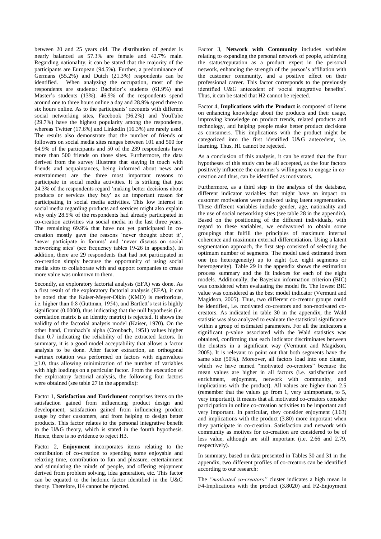between 20 and 25 years old. The distribution of gender is nearly balanced as 57.3% are female and 42.7% male. Regarding nationality, it can be stated that the majority of the participants are European (94.5%). Further, a predominance of Germans (55.2%) and Dutch (21.3%) respondents can be identified. When analyzing the occupation, most of the respondents are students: Bachelor's students (61.9%) and Master's students (13%). 46.9% of the respondents spend around one to three hours online a day and 28.9% spend three to six hours online. As to the participants' accounts with different social networking sites, Facebook (96.2%) and YouTube (29.7%) have the highest popularity among the respondents, whereas Twitter (17.6%) and LinkedIn (16.3%) are rarely used. The results also demonstrate that the number of friends or followers on social media sites ranges between 101 and 500 for 64.9% of the participants and 50 of the 239 respondents have more than 500 friends on those sites. Furthermore, the data derived from the survey illustrate that staying in touch with friends and acquaintances, being informed about news and entertainment are the three most important reasons to participate in social media activities. It is striking that just 24.3% of the respondents regard 'making better decisions about products or services they buy' as an important reason for participating in social media activities. This low interest in social media regarding products and services might also explain why only 28.5% of the respondents had already participated in co-creation activities via social media in the last three years. The remaining 69.9% that have not yet participated in cocreation mostly gave the reasons 'never thought about it', 'never participate in forums' and 'never discuss on social networking sites' (see frequency tables 19-26 in appendix). In addition, there are 29 respondents that had not participated in co-creation simply because the opportunity of using social media sites to collaborate with and support companies to create more value was unknown to them.

Secondly, an exploratory factorial analysis (EFA) was done. As a first result of the exploratory factorial analysis (EFA), it can be noted that the Kaiser-Meyer-Olkin (KMO) is meritorious, i.e. higher than 0.8 (Guttman, 1954), and Bartlett's test is highly significant (0.0000), thus indicating that the null hypothesis (i.e. correlation matrix is an identity matrix) is rejected. It shows the validity of the factorial analysis model (Kaiser, 1970). On the other hand, Cronbach's alpha (Cronbach, 1951) values higher than 0.7 indicating the reliability of the extracted factors. In summary, it is a good model acceptability that allows a factor analysis to be done. After factor extraction, an orthogonal varimax rotation was performed on factors with eigenvalues  $\geq$ 1.0, thus allowing minimization of the number of variables with high loadings on a particular factor. From the execution of the exploratory factorial analysis, the following four factors were obtained (see table 27 in the appendix):

Factor 1, **Satisfaction and Enrichment** comprises items on the satisfaction gained from influencing product design and development, satisfaction gained from influencing product usage by other customers, and from helping to design better products. This factor relates to the personal integrative benefit in the U&G theory, which is stated in the fourth hypothesis. Hence, there is no evidence to reject H3.

Factor 2, **Enjoyment** incorporates items relating to the contribution of co-creation to spending some enjoyable and relaxing time, contribution to fun and pleasure, entertainment and stimulating the minds of people, and offering enjoyment derived from problem solving, idea generation, etc. This factor can be equated to the hedonic factor identified in the U&G theory. Therefore, H4 cannot be rejected.

Factor 3, **Network with Community** includes variables relating to expanding the personal network of people, achieving the status/reputation as a product expert in the personal network, enhancing the strength of the person's affiliation with the customer community, and a positive effect on their professional career. This factor corresponds to the previously identified U&G antecedent of 'social integrative benefits'. Thus, it can be stated that H2 cannot be rejected.

Factor 4, **Implications with the Product** is composed of items on enhancing knowledge about the products and their usage, improving knowledge on product trends, related products and technology, and helping people make better product decisions as consumers. This implications with the product might be categorized into the first identified U&G antecedent, i.e. learning. Thus, H1 cannot be rejected.

As a conclusion of this analysis, it can be stated that the four hypotheses of this study can be all accepted, as the four factors positively influence the customer's willingness to engage in cocreation and thus, can be identified as motivators.

Furthermore, as a third step in the analysis of the database, different indicator variables that might have an impact on customer motivations were analyzed using latent segmentation. These different variables include gender, age, nationality and the use of social networking sites (see table 28 in the appendix). Based on the positioning of the different individuals, with regard to these variables, we endeavored to obtain some groupings that fulfill the principles of maximum internal coherence and maximum external differentiation. Using a latent segmentation approach, the first step consisted of selecting the optimum number of segments. The model used estimated from one (no heterogeneity) up to eight (i.e. eight segments or heterogeneity). Table 29 in the appendix shows the estimation process summary and the fit indexes for each of the eight models. Additionally, the Bayesian information criterion (BIC) was considered when evaluating the model fit. The lowest BIC value was considered as the best model indicator (Vermunt and Magidson, 2005). Thus, two different co-creator groups could be identified, i.e. motivated co-creators and non-motivated cocreators. As indicated in table 30 in the appendix, the Wald statistic was also analyzed to evaluate the statistical significance within a group of estimated parameters. For all the indicators a significant p-value associated with the Wald statistics was obtained, confirming that each indicator discriminates between the clusters in a significant way (Vermunt and Magidson, 2005). It is relevant to point out that both segments have the same size (50%). Moreover, all factors load into one cluster, which we have named "motivated co-creators" because the mean values are higher in all factors (i.e. satisfaction and enrichment, enjoyment, network with community, and implications with the product). All values are higher than 2.5 (remember that the values go from 1, very unimportant, to 5, very important). It means that all motivated co-creators consider participation in online co-creation activities to be important and very important. In particular, they consider enjoyment (3.63) and implications with the product (3.80) more important when they participate in co-creation. Satisfaction and network with community as motives for co-creation are considered to be of less value, although are still important (i.e. 2.66 and 2.79, respectively).

In summary, based on data presented in Tables 30 and 31 in the appendix, two different profiles of co-creators can be identified according to our research:

The *"motivated co-creators"* cluster indicates a high mean in F4-Implications with the product (3.8020) and F2-Enjoyment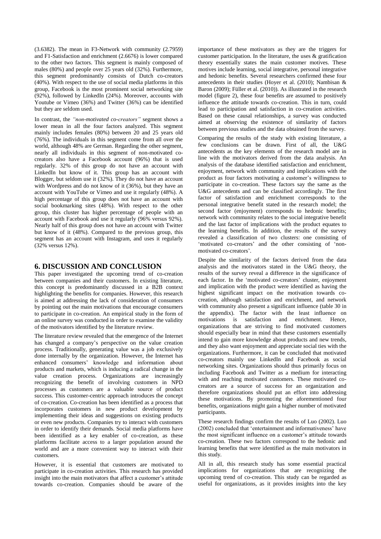(3.6382). The mean in F3-Network with community (2.7959) and F1-Satisfaction and enrichment (2.6676) is lower compared to the other two factors. This segment is mainly composed of males (80%) and people over 25 years old (32%). Furthermore, this segment predominantly consists of Dutch co-creators (40%). With respect to the use of social media platforms in this group, Facebook is the most prominent social networking site (92%), followed by LinkedIn (24%). Moreover, accounts with Youtube or Vimeo (36%) and Twitter (36%) can be identified but they are seldom used.

In contrast, the *"non-motivated co-creators"* segment shows a lower mean in all the four factors analyzed. This segment mainly includes females (80%) between 20 and 25 years old (76%). The individuals in this segment come from all over the world, although 48% are German. Regarding the other segment, nearly all individuals in this segment of non-motivated cocreators also have a Facebook account (96%) that is used regularly. 32% of this group do not have an account with LinkedIn but know of it. This group has an account with Blogger, but seldom use it (32%). They do not have an account with Wordpress and do not know of it (36%), but they have an account with YouTube or Vimeo and use it regularly (48%). A high percentage of this group does not have an account with social bookmarking sites (48%). With respect to the other group, this cluster has higher percentage of people with an account with Facebook and use it regularly (96% versus 92%). Nearly half of this group does not have an account with Twitter but know of it (48%). Compared to the previous group, this segment has an account with Instagram, and uses it regularly (32% versus 12%).

### **6. DISCUSSION AND CONCLUSION**

This paper investigated the upcoming trend of co-creation between companies and their customers. In existing literature, this concept is predominantly discussed in a B2B context highlighting the benefits for companies. However, this research is aimed at addressing the lack of consideration of consumers by pointing out the main motivations that encourage consumers to participate in co-creation. An empirical study in the form of an online survey was conducted in order to examine the validity of the motivators identified by the literature review.

The literature review revealed that the emergence of the Internet has changed a company's perspective on the value creation process. Traditionally, generating value was a job exclusively done internally by the organization. However, the Internet has enhanced consumers' knowledge and information about products and markets, which is inducing a radical change in the value creation process. Organizations are increasingly recognizing the benefit of involving customers in NPD processes as customers are a valuable source of product success. This customer-centric approach introduces the concept of co-creation. Co-creation has been identified as a process that incorporates customers in new product development by implementing their ideas and suggestions on existing products or even new products. Companies try to interact with customers in order to identify their demands. Social media platforms have been identified as a key enabler of co-creation, as these platforms facilitate access to a larger population around the world and are a more convenient way to interact with their customers.

However, it is essential that customers are motivated to participate in co-creation activities. This research has provided insight into the main motivators that affect a customer's attitude towards co-creation. Companies should be aware of the

importance of these motivators as they are the triggers for customer participation. In the literature, the uses & gratification theory essentially states the main customer motives. These motives include learning, social integrative, personal integrative and hedonic benefits. Several researchers confirmed these four antecedents in their studies (Hoyer et al. (2010); Nambisan & Baron (2009); Füller et al. (2010)). As illustrated in the research model (figure 2), these four benefits are assumed to positively influence the attitude towards co-creation. This in turn, could lead to participation and satisfaction in co-creation activities. Based on these causal relationships, a survey was conducted aimed at observing the existence of similarity of factors between previous studies and the data obtained from the survey.

Comparing the results of the study with existing literature, a few conclusions can be drawn. First of all, the U&G antecedents as the key elements of the research model are in line with the motivators derived from the data analysis. An analysis of the database identified satisfaction and enrichment, enjoyment, network with community and implications with the product as four factors motivating a customer's willingness to participate in co-creation. These factors say the same as the U&G antecedents and can be classified accordingly. The first factor of satisfaction and enrichment corresponds to the personal integrative benefit stated in the research model; the second factor (enjoyment) corresponds to hedonic benefits; network with community relates to the social integrative benefit and the last factor of implications with the product equates to the learning benefits. In addition, the results of the survey revealed a classification of two clusters: one consisting of 'motivated co-creators' and the other consisting of 'nonmotivated co-creators'.

Despite the similarity of the factors derived from the data analysis and the motivators stated in the U&G theory, the results of the survey reveal a difference in the significance of each factor. In the 'motivated co-creators' cluster, enjoyment and implication with the product were identified as having the highest significant impact on the motivation towards cocreation, although satisfaction and enrichment, and network with community also present a significant influence (table 30 in the appendix). The factor with the least influence on motivations is satisfaction and enrichment. Hence, organizations that are striving to find motivated customers should especially bear in mind that these customers essentially intend to gain more knowledge about products and new trends, and they also want enjoyment and appreciate social ties with the organizations. Furthermore, it can be concluded that motivated co-creators mainly use LinkedIn and Facebook as social networking sites. Organizations should thus primarily focus on including Facebook and Twitter as a medium for interacting with and reaching motivated customers. These motivated cocreators are a source of success for an organization and therefore organizations should put an effort into addressing these motivations. By promoting the aforementioned four benefits, organizations might gain a higher number of motivated participants.

These research findings confirm the results of Luo (2002). Luo (2002) concluded that 'entertainment and informativeness' have the most significant influence on a customer's attitude towards co-creation. These two factors correspond to the hedonic and learning benefits that were identified as the main motivators in this study.

All in all, this research study has some essential practical implications for organizations that are recognizing the upcoming trend of co-creation. This study can be regarded as useful for organizations, as it provides insights into the key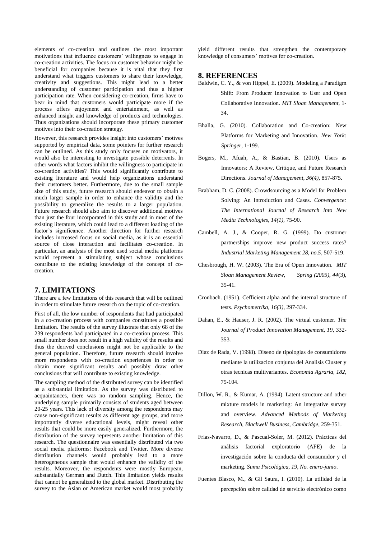elements of co-creation and outlines the most important motivations that influence customers' willingness to engage in co-creation activities. The focus on customer behavior might be beneficial for companies because it is vital that they first understand what triggers customers to share their knowledge, creativity and suggestions. This might lead to a better understanding of customer participation and thus a higher participation rate. When considering co-creation, firms have to bear in mind that customers would participate more if the process offers enjoyment and entertainment, as well as enhanced insight and knowledge of products and technologies. Thus organizations should incorporate these primary customer motives into their co-creation strategy.

However, this research provides insight into customers' motives supported by empirical data, some pointers for further research can be outlined. As this study only focuses on motivators, it would also be interesting to investigate possible deterrents. In other words what factors inhibit the willingness to participate in co-creation activities? This would significantly contribute to existing literature and would help organizations understand their customers better. Furthermore, due to the small sample size of this study, future research should endeavor to obtain a much larger sample in order to enhance the validity and the possibility to generalize the results to a larger population. Future research should also aim to discover additional motives than just the four incorporated in this study and in most of the existing literature, which could lead to a different loading of the factor's significance. Another direction for further research includes increased focus on social media, as it is an essential source of close interaction and facilitates co-creation. In particular, an analysis of the most used social media platforms would represent a stimulating subject whose conclusions contribute to the existing knowledge of the concept of cocreation.

### **7. LIMITATIONS**

There are a few limitations of this research that will be outlined in order to stimulate future research on the topic of co-creation.

First of all, the low number of respondents that had participated in a co-creation process with companies constitutes a possible limitation. The results of the survey illustrate that only 68 of the 239 respondents had participated in a co-creation process. This small number does not result in a high validity of the results and thus the derived conclusions might not be applicable to the general population. Therefore, future research should involve more respondents with co-creation experiences in order to obtain more significant results and possibly draw other conclusions that will contribute to existing knowledge.

The sampling method of the distributed survey can be identified as a substantial limitation. As the survey was distributed to acquaintances, there was no random sampling. Hence, the underlying sample primarily consists of students aged between 20-25 years. This lack of diversity among the respondents may cause non-significant results as different age groups, and more importantly diverse educational levels, might reveal other results that could be more easily generalized. Furthermore, the distribution of the survey represents another limitation of this research. The questionnaire was essentially distributed via two social media platforms: Facebook and Twitter. More diverse distribution channels would probably lead to a more heterogeneous sample that would enhance the validity of the results. Moreover, the respondents were mostly European, substantially German and Dutch. This limitation yields results that cannot be generalized to the global market. Distributing the survey to the Asian or American market would most probably

yield different results that strengthen the contemporary knowledge of consumers' motives for co-creation.

#### **8. REFERENCES**

- Baldwin, C. Y., & von Hippel, E. (2009). Modeling a Paradigm Shift: From Producer Innovation to User and Open Collaborative Innovation. *MIT Sloan Management,* 1- 34.
- Bhalla, G. (2010). Collaboration and Co-creation: New Platforms for Marketing and Innovation. *New York: Springer*, 1-199.
- Bogers, M., Afuah, A., & Bastian, B. (2010). Users as Innovators: A Review, Critique, and Future Research Directions. *Journal of Management, 36(4),* 857-875.
- Brabham, D. C. (2008). Crowdsourcing as a Model for Problem Solving: An Introduction and Cases. *Convergence: The International Journal of Research into New Media Technologies, 14(1),* 75-90.
- Cambell, A. J., & Cooper, R. G. (1999). Do customer partnerships improve new product success rates? *Industrial Marketing Management 28, no.5*, 507-519.
- Chesbrough, H. W. (2003). The Era of Open Innovation. *MIT Sloan Management Review, Spring (2005), 44*(3), 35-41.
- Cronbach. (1951). Cefficient alpha and the internal structure of tests. *Psychometrika, 16(3)*, 297-334.
- Dahan, E., & Hauser, J. R. (2002). The virtual customer. *The Journal of Product Innovation Management, 19*, 332- 353.
- Diaz de Rada, V. (1998). Diseno de tipologias de consumidores mediante la utilizacion conjunta del Analisis Cluster y otras tecnicas multivariantes. *Economia Agraria*, *182*, 75-104.
- Dillon, W. R., & Kumar, A. (1994). Latent structure and other mixture models in marketing: An integrative survey and overview. *Advanced Methods of Marketing Research, Blackwell Business, Cambridge*, 259-351.
- Frias-Navarro, D., & Pascual-Soler, M. (2012). Prácticas del análisis factorial exploratorio (AFE) de la investigación sobre la conducta del consumidor y el marketing. *Suma Psicológica, 19, No. enero-junio*.
- Fuentes Blasco, M., & Gil Saura, I. (2010). La utilidad de la percepción sobre calidad de servicio electrónico como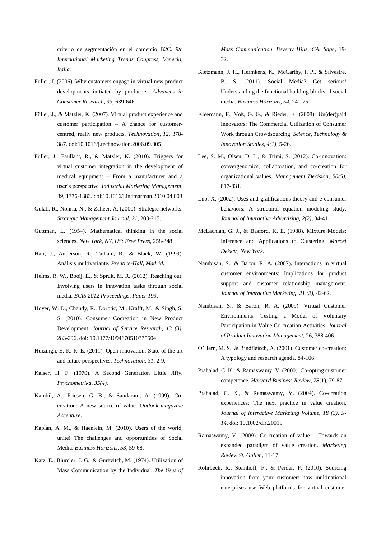criterio de segmentación en el comercio B2C. *9th International Marketing Trends Congress, Venecia, Italia.*

- Füller, J. (2006). Why customers engage in virtual new product developments initiated by producers. *Advances in Consumer Research, 33*, 639-646.
- Füller, J., & Matzler, K. (2007). Virtual product experience and customer participation – A chance for customercentred, really new products. *Technovation, 12,* 378- 387. doi:10.1016/j.technovation.2006.09.005
- Füller, J., Faullant, R., & Matzler, K. (2010). Triggers for virtual customer integration in the development of medical equipment – From a manufacturer and a user's perspective. *Industrial Marketing Management, 39*, 1376-1383. doi:10.1016/j.indmarman.2010.04.003
- Gulati, R., Nohria, N., & Zaheer, A. (2000). Strategic networks. *Strategic Management Journal, 21*, 203-215.
- Guttman, L. (1954). Mathematical thinking in the social sciences. *New York, NY, US: Free Press,* 258-348.
- Hair, J., Anderson, R., Tatham, R., & Black, W. (1999). Análisis multivariante. *Prentice-Hall, Madrid.*
- Helms, R. W., Booij, E., & Spruit, M. R. (2012). Reaching out: Involving users in innovation tasks through social media. *ECIS 2012 Proceedings, Paper 193*.
- Hoyer, W. D., Chandy, R., Dorotic, M., Krafft, M., & Singh, S. S. (2010). Consumer Cocreation in New Product Development. *Journal of Service Research, 13 (3),*  283-296. doi: 10.1177/1094670510375604
- Huizingh, E. K. R. E. (2011). Open innovation: State of the art and future perspectives. *Technovation, 31*, 2-9.
- Kaiser, H. F. (1970). A Second Generation Little Jiffy. *Psychometrika, 35(4).*
- Kambil, A., Friesen, G. B., & Sandaram, A. (1999). Cocreation: A new source of value. *Outlook magazine Accenture.*
- Kaplan, A. M., & Haenlein, M. (2010). Users of the world, unite! The challenges and opportunities of Social Media. *Business Horizons, 53*, 59-68.
- Katz, E., Blumler, J. G., & Gurevitch, M. (1974). Utilization of Mass Communication by the Individual. *The Uses of*

*Mass Communication. Beverly Hills, CA: Sage*, 19- 32.

- Kietzmann, J. H., Hermkens, K., McCarthy, I. P., & Silvestre, B. S. (2011). Social Media? Get serious! Understanding the functional building blocks of social media. *Business Horizons, 54*, 241-251.
- Kleemann, F., Voß, G. G., & Rieder, K. (2008). Un(der)paid Innovators: The Commercial Utilization of Consumer Work through Crowdsourcing. *Science, Technology & Innovation Studies, 4(1),* 5-26.
- Lee, S. M., Olsen, D. L., & Trimi, S. (2012). Co-innovation: convergenomics, collaboration, and co-creation for organizational values. *Management Decision, 50(5)*, 817-831.
- Luo, X. (2002). Uses and gratifications theory and e-consumer behaviors: A structural equation modeling study. *Journal of Interactive Advertising, 2(2)*, 34-41.
- McLachlan, G. J., & Basford, K. E. (1988). Mixture Models: Inference and Applications to Clustering. *Marcel Dekker, New York*.
- Nambisan, S., & Baron, R. A. (2007). Interactions in virtual customer environments: Implications for product support and customer relationship management. *Journal of Interactive Marketing, 21 (2),* 42-62.
- Nambisan, S., & Baron, R. A. (2009). Virtual Customer Environments: Testing a Model of Voluntary Participation in Value Co-creation Activities. *Journal of Product Innovation Management,* 26, 388-406.
- O'Hern, M. S., & Rindfleisch, A. (2001). Customer co-creation: A typology and research agenda. 84-106.
- Prahalad, C. K., & Ramaswamy, V. (2000). Co-opting customer competence. *Harvard Business Review, 78*(1), 79-87.
- Prahalad, C. K., & Ramaswamy, V. (2004). Co-creation experiences: The next practice in value creation. *Journal of Interactive Marketing Volume, 18 (3), 5- 14*. doi: 10.1002/dir.20015
- Ramaswamy, V. (2009). Co-creation of value Towards an expanded paradigm of value creation. *Marketing Review St. Gallen,* 11-17.
- Rohrbeck, R., Steinhoff, F., & Perder, F. (2010). Sourcing innovation from your customer: how multinational enterprises use Web platforms for virtual customer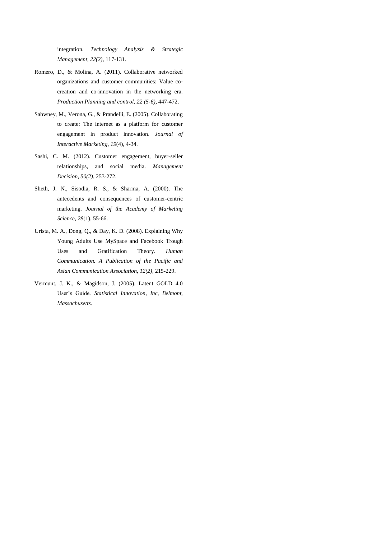integration. *Technology Analysis & Strategic Management, 22(2),* 117-131.

- Romero, D., & Molina, A. (2011). Collaborative networked organizations and customer communities: Value cocreation and co-innovation in the networking era. *Production Planning and control, 22 (5-6)*, 447-472.
- Sahwney, M., Verona, G., & Prandelli, E. (2005). Collaborating to create: The internet as a platform for customer engagement in product innovation. *Journal of Interactive Marketing, 19*(4), 4-34.
- Sashi, C. M. (2012). Customer engagement, buyer-seller relationships, and social media. *Management Decision, 50(2)*, 253-272.
- Sheth, J. N., Sisodia, R. S., & Sharma, A. (2000). The antecedents and consequences of customer-centric marketing. *Journal of the Academy of Marketing Science, 28*(1), 55-66.
- Urista, M. A., Dong, Q., & Day, K. D. (2008). Explaining Why Young Adults Use MySpace and Facebook Trough Uses and Gratification Theory. *Human Communication. A Publication of the Pacific and Asian Communication Association, 12(2)*, 215-229.
- Vermunt, J. K., & Magidson, J. (2005). Latent GOLD 4.0 User's Guide. *Statistical Innovation, Inc, Belmont, Massachusetts.*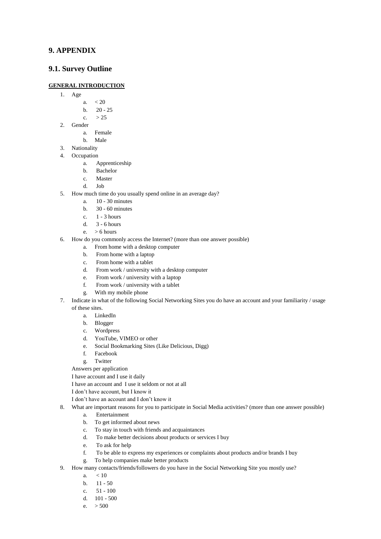# **9. APPENDIX**

# **9.1. Survey Outline**

#### **GENERAL INTRODUCTION**

- 1. Age
	- a.  $< 20$
	- b. 20 25
	- c.  $> 25$
- 2. Gender
	- a. Female
	- b. Male
- 3. Nationality
- 4. Occupation
	- a. Apprenticeship
	- b. Bachelor
	- c. Master
	- d. Job
- 5. How much time do you usually spend online in an average day?
	- a. 10 30 minutes
	- b. 30 60 minutes
	- c. 1 3 hours
	- d. 3 6 hours
	- e. > 6 hours
- 6. How do you commonly access the Internet? (more than one answer possible)
	- a. From home with a desktop computer
	- b. From home with a laptop
	- c. From home with a tablet
	- d. From work / university with a desktop computer
	- e. From work / university with a laptop
	- f. From work / university with a tablet
	- g. With my mobile phone
- 7. Indicate in what of the following Social Networking Sites you do have an account and your familiarity / usage of these sites.
	- a. LinkedIn
	- b. Blogger
	- c. Wordpress
	- d. YouTube, VIMEO or other
	- e. Social Bookmarking Sites (Like Delicious, Digg)
	- f. Facebook
	- g. Twitter
	- Answers per application

I have account and I use it daily

- I have an account and I use it seldom or not at all
- I don't have account, but I know it
- I don't have an account and I don't know it
- 8. What are important reasons for you to participate in Social Media activities? (more than one answer possible)
	- a. Entertainment
	- b. To get informed about news
	- c. To stay in touch with friends and acquaintances
	- d. To make better decisions about products or services I buy
	- e. To ask for help
	- f. To be able to express my experiences or complaints about products and/or brands I buy
	- g. To help companies make better products
- 9. How many contacts/friends/followers do you have in the Social Networking Site you mostly use?
	- a.  $< 10$
	- b. 11 50
	- c.  $51 100$
	- d. 101 500
	- e.  $> 500$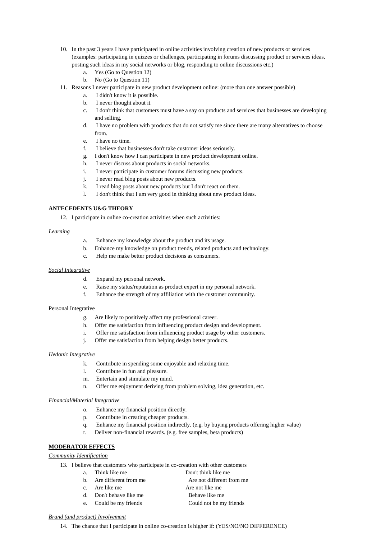- 10. In the past 3 years I have participated in online activities involving creation of new products or services (examples: participating in quizzes or challenges, participating in forums discussing product or services ideas, posting such ideas in my social networks or blog, responding to online discussions etc.)
	- a. Yes (Go to Question 12)
	- b. No (Go to Question 11)
- 11. Reasons I never participate in new product development online: (more than one answer possible)
	- a. I didn't know it is possible.
	- b. I never thought about it.
	- c. I don't think that customers must have a say on products and services that businesses are developing and selling.
	- d. I have no problem with products that do not satisfy me since there are many alternatives to choose from.
	- e. I have no time.
	- f. I believe that businesses don't take customer ideas seriously.
	- g. I don't know how I can participate in new product development online.
	- h. I never discuss about products in social networks.
	- i. I never participate in customer forums discussing new products.
	- j. I never read blog posts about new products.
	- k. I read blog posts about new products but I don't react on them.
	- l. I don't think that I am very good in thinking about new product ideas.

#### **ANTECEDENTS U&G THEORY**

12. I participate in online co-creation activities when such activities:

#### *Learning*

- a. Enhance my knowledge about the product and its usage.
- b. Enhance my knowledge on product trends, related products and technology.
- c. Help me make better product decisions as consumers.

#### *Social Integrative*

- d. Expand my personal network.
- e. Raise my status/reputation as product expert in my personal network.
- f. Enhance the strength of my affiliation with the customer community.

#### Personal Integrative

- g. Are likely to positively affect my professional career.
- h. Offer me satisfaction from influencing product design and development.
- i. Offer me satisfaction from influencing product usage by other customers.
- j. Offer me satisfaction from helping design better products.

#### *Hedonic Integrative*

- k. Contribute in spending some enjoyable and relaxing time.
- l. Contribute in fun and pleasure.
- m. Entertain and stimulate my mind.
- n. Offer me enjoyment deriving from problem solving, idea generation, etc.

#### *Financial/Material Integrative*

- o. Enhance my financial position directly.
- p. Contribute in creating cheaper products.
- q. Enhance my financial position indirectly. (e.g. by buying products offering higher value)
- r. Deliver non-financial rewards. (e.g. free samples, beta products)

#### **MODERATOR EFFECTS**

#### *Community Identification*

- 13. I believe that customers who participate in co-creation with other customers
	- a. Think like me Don't think like me
	- b. Are different from me Are not different from me
	-
	-
	- c. Are like me Are not like me d. Don't behave like me Behave like me e. Could be my friends Could not be my friends
- *Brand (and product) Involvement*
	- 14. The chance that I participate in online co-creation is higher if: (YES/NO/NO DIFFERENCE)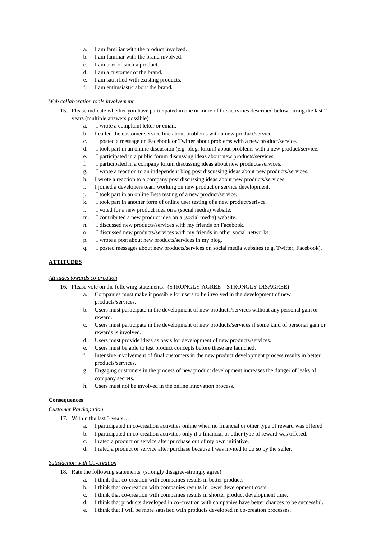- a. I am familiar with the product involved.
- b. I am familiar with the brand involved.
- c. I am user of such a product.
- d. I am a customer of the brand.
- e. I am satisified with existing products.
- f. I am enthusiastic about the brand.

#### *Web collaboration tools involvement*

- 15. Please indicate whether you have participated in one or more of the activities described below during the last 2 years (multiple answers possible)
	- a. I wrote a complaint letter or email.
	- b. I called the customer service line about problems with a new product/service.
	- c. I posted a message on Facebook or Twitter about problems with a new product/service.
	- d. I took part in an online discussion (e.g. blog, forum) about problems with a new product/service.
	- e. I participated in a public forum discussing ideas about new products/services.
	- f. I participated in a company forum discussing ideas about new products/services.
	- g. I wrote a reaction to an independent blog post discussing ideas about new products/services.
	- h. I wrote a reaction to a company post discussing ideas about new products/services.
	- i. I joined a developers team working on new product or service development.
	- j. I took part in an online Beta testing of a new product/service.
	- k. I took part in another form of online user testing of a new product/serivce.
	- l. I voted for a new product idea on a (social media) website.
	- m. I contributed a new product idea on a (social media) website.
	- n. I discussed new products/services with my friends on Facebook.
	- o. I discussed new products/services with my friends in other social networks.
	- p. I wrote a post about new products/services in my blog.
	- q. I posted messages about new products/services on social media websites (e.g. Twitter, Facebook).

#### **ATTITUDES**

#### *Attitudes towards co-creation*

- 16. Please vote on the following statements: (STRONGLY AGREE STRONGLY DISAGREE)
	- a. Companies must make it possible for users to be involved in the development of new products/services.
	- b. Users must participate in the development of new products/services without any personal gain or reward.
	- c. Users must participate in the development of new products/services if some kind of personal gain or rewards is involved.
	- d. Users must provide ideas as basis for development of new products/services.
	- e. Users must be able to test product concepts before these are launched.
	- f. Intensive involvement of final customers in the new product development process results in better products/services.
	- g. Engaging customers in the process of new product development increases the danger of leaks of company secrets.
	- h. Users must not be involved in the online innovation process.

#### **Consequences**

#### *Customer Participation*

- 17. Within the last 3 years...:
	- a. I participated in co-creation activities online when no financial or other type of reward was offered.
	- b. I participated in co-creation activities only if a financial or other type of reward was offered.
	- c. I rated a product or service after purchase out of my own initiative.
	- d. I rated a product or service after purchase because I was invited to do so by the seller.

#### *Satisfaction with Co-creation*

- 18. Rate the following statements: (strongly disagree-strongly agree)
	- a. I think that co-creation with companies results in better products.
	- b. I think that co-creation with companies results in lower development costs.
	- c. I think that co-creation with companies results in shorter product development time.
	- d. I think that products developed in co-creation with companies have better chances to be successful.
	- e. I think that I will be more satisfied with products developed in co-creation processes.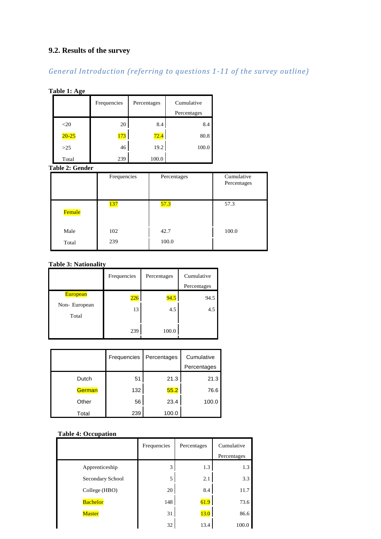# **9.2. Results of the survey**

# *General Introduction (referring to questions 1-11 of the survey outline)*

# **Table 1: Age**

|           | Frequencies | Percentages | Cumulative  |
|-----------|-------------|-------------|-------------|
|           |             |             | Percentages |
| $<$ 20    | 20          | 8.4         | 8.4         |
| $20 - 25$ | $\sqrt{73}$ | 72.4        | 80.8        |
| >25       | 46          | 19.2        | 100.0       |
| Total     | 239         | 100.0       |             |

**Table 2: Gender**

|        | Frequencies | Percentages | Cumulative<br>Percentages |
|--------|-------------|-------------|---------------------------|
| Female | <b>137</b>  | 57.3        | 57.3                      |
| Male   | 102         | 42.7        | 100.0                     |
| Total  | 239         | 100.0       |                           |

# **Table 3: Nationality**

|                                          | Frequencies | Percentages | Cumulative<br>Percentages |
|------------------------------------------|-------------|-------------|---------------------------|
| <b>European</b><br>Non-European<br>Total | 226<br>13   | 94.5<br>4.5 | 94.5<br>4.5               |
|                                          | 239         | 100.0       |                           |

|        | Frequencies | Percentages | Cumulative  |
|--------|-------------|-------------|-------------|
|        |             |             | Percentages |
| Dutch  | 51          | 21.3        | 21.3        |
| German | 132         | 55.2        | 76.6        |
| Other  | 56          | 23.4        | 100.0       |
| Total  | 239         | 100.0       |             |

# **Table 4: Occupation**

|                  | Frequencies | Percentages | Cumulative  |
|------------------|-------------|-------------|-------------|
|                  |             |             | Percentages |
| Apprenticeship   | 3           | 1.3         | 1.3         |
| Secondary School | 5           | 2.1         | 3.3         |
| College (HBO)    | 20          | 8.4         | 11.7        |
| <b>Bachelor</b>  | 148         | 61.9        | 73.6        |
| <b>Master</b>    | 31          | 13.0        | 86.6        |
|                  | 32          | 13.4        | 100.0       |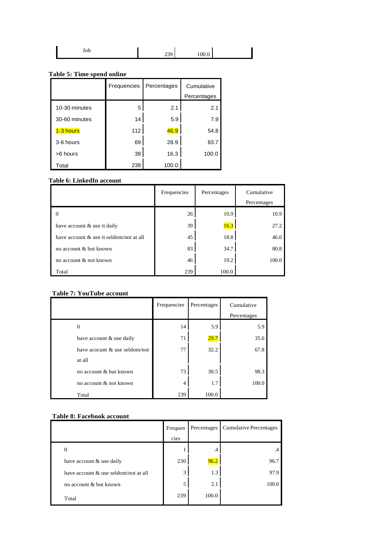# **Table 5: Time spend online**

|               | Frequencies | Percentages | Cumulative  |
|---------------|-------------|-------------|-------------|
|               |             |             | Percentages |
| 10-30 minutes | 5           | 2.1         | 2.1         |
| 30-60 minutes | 14          | 5.9         | 7.9         |
| 1-3 hours     | 112         | 46.9        | 54.8        |
| 3-6 hours     | 69          | 28.9        | 83.7        |
| >6 hours      | 39          | 16.3        | 100.0       |
| Total         | 239         | 100.0       |             |

# **Table 6: LinkedIn account**

|                                         | Frequencies | Percentages | Cumulative  |
|-----------------------------------------|-------------|-------------|-------------|
|                                         |             |             | Percentages |
|                                         | 26          | 10.9        | 10.9        |
| have account & use it daily             | 39          | 16.3        | 27.2        |
| have account & use it seldom/not at all | 45          | 18.8        | 46.0        |
| no account & but known                  | 83          | 34.7        | 80.8        |
| no account & not known                  | 46          | 19.2        | 100.0       |
| Total                                   | 239         | 100.0       |             |

# **Table 7: YouTube account**

|                               | Frequencies | Percentages | Cumulative<br>Percentages |
|-------------------------------|-------------|-------------|---------------------------|
| $\Omega$                      | 14          | 5.9         | 5.9                       |
| have account & use daily      | 71          | 29.7        | 35.6                      |
| have acocunt & use seldom/not | 77          | 32.2        | 67.8                      |
| at all                        |             |             |                           |
| no account & but known        | 73          | 30.5        | 98.3                      |
| no account & not known        | 4           | 1.7         | 100.0                     |
| Total                         | 239         | 100.0       |                           |

### **Table 8: Facebook account**

|                                      | Frequen | Percentages | <b>Cumulative Percentages</b> |
|--------------------------------------|---------|-------------|-------------------------------|
|                                      | cies    |             |                               |
| 0                                    |         | .4          | .4                            |
| have account & use daily             | 230     | 96.2        | 96.7                          |
| have account & use seldom/not at all | 3       | 1.3         | 97.9                          |
| no account & but known               | 5       | 2.1         | 100.0                         |
| Total                                | 239     | 100.0       |                               |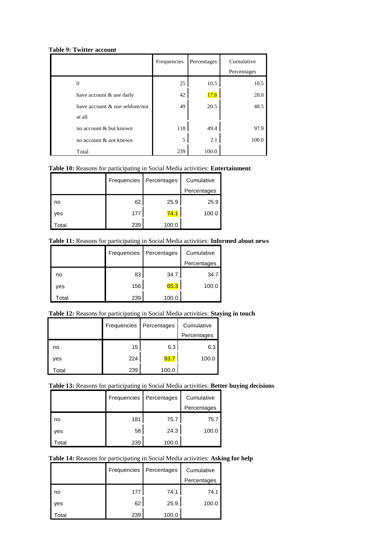#### **Table 9: Twitter account**

|                               | Frequencies | Percentages | Cumulative<br>Percentages |
|-------------------------------|-------------|-------------|---------------------------|
| 0                             | 25          | 10.5        | 10.5                      |
| have account & use daily      | 42          | 17.6        | 28.0                      |
| have account & use seldom/not | 49          | 20.5        | 48.5                      |
| at all                        |             |             |                           |
| no account & but known        | 118         | 49.4        | 97.9                      |
| no account & not known        | 5           | 2.1         | 100.0                     |
| Total                         | 239         | 100.0       |                           |

# **Table 10:** Reasons for participating in Social Media activities: **Entertainment**

|       | Frequencies | Percentages | Cumulative  |
|-------|-------------|-------------|-------------|
|       |             |             | Percentages |
| no    | 62          | 25.9        | 25.9        |
| yes   | 177         | 74.1        | 100.0       |
| ʻotal | 239         | 100.0       |             |

# **Table 11:** Reasons for participating in Social Media activities: **Informed about news**

|       | Frequencies | Percentages | Cumulative  |
|-------|-------------|-------------|-------------|
|       |             |             | Percentages |
| no    | 83          | 34.7        | 34.7        |
| yes   | 156         | 65.3        | 100.0       |
| Total | 239         | 100.0       |             |

# **Table 12:** Reasons for participating in Social Media activities: **Staying in touch**

|       | Frequencies | Percentages | Cumulative  |
|-------|-------------|-------------|-------------|
|       |             |             | Percentages |
| no    | 15          | 6.3         | 6.3         |
| yes   | 224         | 93.7        | 100.0       |
| Total | 239         | 100.0       |             |

# **Table 13:** Reasons for participating in Social Media activities: **Better buying decisions**

|                   | Frequencies | Percentages | Cumulative  |
|-------------------|-------------|-------------|-------------|
|                   |             |             | Percentages |
| no                | 181         | 75.7        | 75.7        |
| ves               | 58          | 24.3        | 100.0       |
| otal <sup>-</sup> | 239         | 100.0       |             |

# **Table 14:** Reasons for participating in Social Media activities: **Asking for help**

|                   | Frequencies | Percentages | Cumulative  |
|-------------------|-------------|-------------|-------------|
|                   |             |             | Percentages |
| no                | 177         | 74.1        | 74.1        |
| yes               | 62          | 25.9        | 100.0       |
| otal <sup>.</sup> | 239         | 100.0       |             |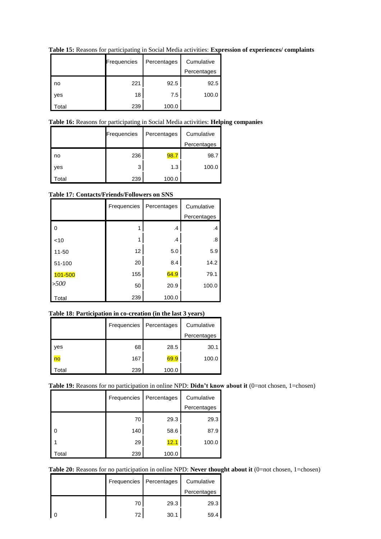|       | Frequencies | Percentages | Cumulative  |
|-------|-------------|-------------|-------------|
|       |             |             | Percentages |
| no    | 221         | 92.5        | 92.5        |
| ves   | 18          | 7.5         | 100.0       |
| ʻotal | 239         | 100.0       |             |

**Table 15:** Reasons for participating in Social Media activities: **Expression of experiences/ complaints**

# **Table 16:** Reasons for participating in Social Media activities: **Helping companies**

|                   | Frequencies | Percentages | Cumulative  |
|-------------------|-------------|-------------|-------------|
|                   |             |             | Percentages |
| no                | 236         | 98.7        | 98.7        |
| yes               | 3           | 1.3         | 100.0       |
| otal <sup>.</sup> | 239         | 100.0       |             |

# **Table 17: Contacts/Friends/Followers on SNS**

|                   | Frequencies | Percentages | Cumulative  |
|-------------------|-------------|-------------|-------------|
|                   |             |             | Percentages |
| - 0               |             | .4          | .4          |
| $<$ 10            |             | $\cdot$     | .8          |
| 11-50             | 12          | 5.0         | 5.9         |
| 51-100            | 20          | 8.4         | 14.2        |
| 101-500           | 155         | 64.9        | 79.1        |
| >500              | 50          | 20.9        | 100.0       |
| otal <sup>-</sup> | 239         | 100.0       |             |

# **Table 18: Participation in co-creation (in the last 3 years)**

|                   | Frequencies | Percentages | Cumulative  |
|-------------------|-------------|-------------|-------------|
|                   |             |             | Percentages |
| ves               | 68          | 28.5        | 30.1        |
| no                | 167         | 69.9        | 100.0       |
| otal <sup>.</sup> | 239         | 100.0       |             |

# Table 19: Reasons for no participation in online NPD: Didn't know about it (0=not chosen, 1=chosen)

|                   | Frequencies | Percentages | Cumulative  |
|-------------------|-------------|-------------|-------------|
|                   |             |             | Percentages |
|                   | 70          | 29.3        | 29.3        |
| U                 | 140         | 58.6        | 87.9        |
|                   | 29          | 12.1        | 100.0       |
| otal <sup>.</sup> | 239         | 100.0       |             |

**Table 20:** Reasons for no participation in online NPD: **Never thought about it** (0=not chosen, 1=chosen)

| Frequencies | Percentages | Cumulative  |
|-------------|-------------|-------------|
|             |             | Percentages |
| 70          | 29.3        | 29.3        |
| 72          | 30.1        | 59.4        |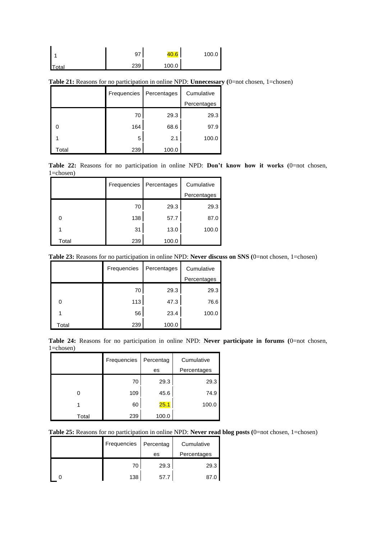|       | 97  | 40.6  | 100.0 |
|-------|-----|-------|-------|
| Total | 239 | 100.0 |       |

**Table 21:** Reasons for no participation in online NPD: **Unnecessary (**0=not chosen, 1=chosen)

|       | Frequencies | Percentages | Cumulative  |
|-------|-------------|-------------|-------------|
|       |             |             | Percentages |
|       | 70          | 29.3        | 29.3        |
|       | 164         | 68.6        | 97.9        |
|       | 5           | 2.1         | 100.0       |
| Гоtal | 239         | 100.0       |             |

**Table 22:** Reasons for no participation in online NPD: **Don't know how it works (**0=not chosen, 1=chosen)

|       | Frequencies | Percentages | Cumulative  |
|-------|-------------|-------------|-------------|
|       |             |             | Percentages |
|       | 70          | 29.3        | 29.3        |
| 0     | 138         | 57.7        | 87.0        |
| 1     | 31          | 13.0        | 100.0       |
| Total | 239         | 100.0       |             |

| Table 23: Reasons for no participation in online NPD: Never discuss on SNS (0=not chosen, 1=chosen) |  |  |  |  |  |  |
|-----------------------------------------------------------------------------------------------------|--|--|--|--|--|--|
|-----------------------------------------------------------------------------------------------------|--|--|--|--|--|--|

|       | Frequencies | Percentages | Cumulative  |
|-------|-------------|-------------|-------------|
|       |             |             | Percentages |
|       | 70          | 29.3        | 29.3        |
| 0     | 113         | 47.3        | 76.6        |
|       | 56          | 23.4        | 100.0       |
| Total | 239         | 100.0       |             |

|                |  |  |  |  | Table 24: Reasons for no participation in online NPD: Never participate in forums (0=not chosen, |  |  |
|----------------|--|--|--|--|--------------------------------------------------------------------------------------------------|--|--|
| $1 = chosen$ ) |  |  |  |  |                                                                                                  |  |  |

|       | Frequencies | Percentag | Cumulative  |
|-------|-------------|-----------|-------------|
|       |             | es        | Percentages |
|       | 70          | 29.3      | 29.3        |
|       | 109         | 45.6      | 74.9        |
|       | 60          | 25.1      | 100.0       |
| Total | 239         | 100.0     |             |

**Table 25:** Reasons for no participation in online NPD: **Never read blog posts (**0=not chosen, 1=chosen)

| Frequencies | Percentag | Cumulative  |
|-------------|-----------|-------------|
|             | es        | Percentages |
| 70          | 29.3      | 29.3        |
| 138         | 57.7      | 87.         |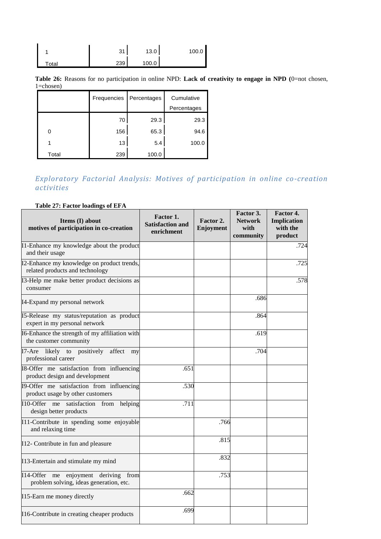|       | 21<br>ບ | 13.0  | 100.0 |
|-------|---------|-------|-------|
| Total | 239     | 100.0 |       |

**Table 26:** Reasons for no participation in online NPD: **Lack of creativity to engage in NPD (**0=not chosen, 1=chosen)

|       | Frequencies | Percentages | Cumulative  |
|-------|-------------|-------------|-------------|
|       |             |             | Percentages |
|       | 70          | 29.3        | 29.3        |
| 0     | 156         | 65.3        | 94.6        |
|       | 13          | 5.4         | 100.0       |
| Total | 239         | 100.0       |             |

# *Exploratory Factorial Analysis: Motives of participation in online co-creation activities*

### **Table 27: Factor loadings of EFA**

| Items (I) about<br>motives of participation in co-creation                            | Factor 1.<br><b>Satisfaction and</b><br>enrichment | Factor 2.<br>Enjoyment | Factor 3.<br><b>Network</b><br>with<br>community | Factor 4.<br><b>Implication</b><br>with the<br>product |
|---------------------------------------------------------------------------------------|----------------------------------------------------|------------------------|--------------------------------------------------|--------------------------------------------------------|
| I1-Enhance my knowledge about the product<br>and their usage                          |                                                    |                        |                                                  | .724                                                   |
| I2-Enhance my knowledge on product trends,<br>related products and technology         |                                                    |                        |                                                  | .725                                                   |
| I3-Help me make better product decisions as<br>consumer                               |                                                    |                        |                                                  | .578                                                   |
| I4-Expand my personal network                                                         |                                                    |                        | .686                                             |                                                        |
| I5-Release my status/reputation as product<br>expert in my personal network           |                                                    |                        | .864                                             |                                                        |
| I6-Enhance the strength of my affiliation with<br>the customer community              |                                                    |                        | .619                                             |                                                        |
| I7-Are likely to positively<br>affect<br>my<br>professional career                    |                                                    |                        | .704                                             |                                                        |
| I8-Offer me satisfaction from influencing<br>product design and development           | .651                                               |                        |                                                  |                                                        |
| I9-Offer me satisfaction from influencing<br>product usage by other customers         | .530                                               |                        |                                                  |                                                        |
| I10-Offer<br>me<br>satisfaction<br>from<br>helping<br>design better products          | .711                                               |                        |                                                  |                                                        |
| I11-Contribute in spending some enjoyable<br>and relaxing time                        |                                                    | .766                   |                                                  |                                                        |
| I12- Contribute in fun and pleasure                                                   |                                                    | .815                   |                                                  |                                                        |
| I13-Entertain and stimulate my mind                                                   |                                                    | .832                   |                                                  |                                                        |
| I14-Offer me<br>enjoyment deriving<br>from<br>problem solving, ideas generation, etc. |                                                    | .753                   |                                                  |                                                        |
| I15-Earn me money directly                                                            | .662                                               |                        |                                                  |                                                        |
| I16-Contribute in creating cheaper products                                           | .699                                               |                        |                                                  |                                                        |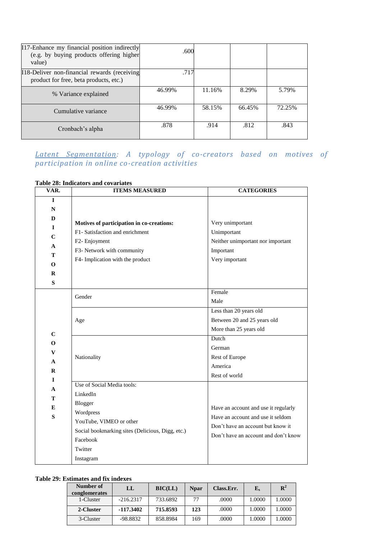| I17-Enhance my financial position indirectly<br>(e.g. by buying products offering higher<br>value) | .600   |        |        |        |
|----------------------------------------------------------------------------------------------------|--------|--------|--------|--------|
| I18-Deliver non-financial rewards (receiving<br>product for free, beta products, etc.)             | .717   |        |        |        |
| % Variance explained                                                                               | 46.99% | 11.16% | 8.29%  | 5.79%  |
| Cumulative variance                                                                                | 46.99% | 58.15% | 66.45% | 72.25% |
| Cronbach's alpha                                                                                   | .878   | .914   | .812   | .843   |

# *Latent Segmentation: A typology of co-creators based on motives of participation in online co-creation activities*

| VAR.         | <b>ITEMS MEASURED</b>                            | <b>CATEGORIES</b>                    |
|--------------|--------------------------------------------------|--------------------------------------|
| L            |                                                  |                                      |
| ${\bf N}$    |                                                  |                                      |
| D            | Motives of participation in co-creations:        | Very unimportant                     |
| $\mathbf{I}$ | F1- Satisfaction and enrichment                  | Unimportant                          |
| $\mathbf C$  | F2- Enjoyment                                    | Neither unimportant nor important    |
| A            | F3- Network with community                       | Important                            |
| T            | F4- Implication with the product                 | Very important                       |
| $\Omega$     |                                                  |                                      |
| $\mathbf R$  |                                                  |                                      |
| S            |                                                  | Female                               |
|              | Gender                                           | Male                                 |
|              |                                                  |                                      |
|              |                                                  | Less than $20$ years old             |
|              | Age                                              | Between 20 and 25 years old          |
| $\mathbf C$  |                                                  | More than 25 years old<br>Dutch      |
| $\mathbf 0$  |                                                  |                                      |
| $\mathbf{V}$ |                                                  | German<br>Rest of Europe             |
| A            | Nationality                                      | America                              |
| $\mathbf R$  |                                                  | Rest of world                        |
| $\mathbf I$  | Use of Social Media tools:                       |                                      |
| A            | LinkedIn                                         |                                      |
| Т<br>E<br>S  | Blogger                                          |                                      |
|              | Wordpress                                        | Have an account and use it regularly |
|              | YouTube, VIMEO or other                          | Have an account and use it seldom    |
|              | Social bookmarking sites (Delicious, Digg, etc.) | Don't have an account but know it    |
|              | Facebook                                         | Don't have an account and don't know |
|              | Twitter                                          |                                      |
|              | Instagram                                        |                                      |
|              |                                                  |                                      |

#### **Table 28: Indicators and covariates**

### **Table 29: Estimates and fix indexes**

| Number of<br>conglomerates | LL          | BIC (LL) | <b>N</b> par | Class.Err. | ${\bf E}_s$ | ${\bf R}^2$ |
|----------------------------|-------------|----------|--------------|------------|-------------|-------------|
| 1-Cluster                  | $-216.2317$ | 733.6892 | 77           | .0000      | 1.0000      | .0000       |
| 2-Cluster                  | $-117.3402$ | 715.8593 | 123          | .0000      | 1.0000      | .0000       |
| 3-Cluster                  | $-98.8832$  | 858.8984 | 169          | .0000      | 1.0000      | .0000       |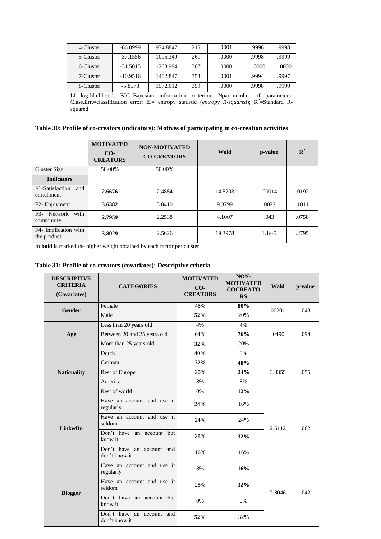| 4-Cluster                                                                                                                                                                                                               | -66.8999   | 974.8847 | 215 | .0001 | .9996  | .9998  |
|-------------------------------------------------------------------------------------------------------------------------------------------------------------------------------------------------------------------------|------------|----------|-----|-------|--------|--------|
| 5-Cluster                                                                                                                                                                                                               | $-37.1556$ | 1095.349 | 261 | .0000 | .9998  | .9999  |
| 6-Cluster                                                                                                                                                                                                               | $-31.5015$ | 1263.994 | 307 | .0000 | 1.0000 | 1.0000 |
| 7-Cluster                                                                                                                                                                                                               | $-10.9516$ | 1402.847 | 353 | .0001 | .9994  | .9997  |
| 8-Cluster                                                                                                                                                                                                               | $-5.8578$  | 1572.612 | 399 | .0000 | .9998  | .9999  |
| LL=log-likelihood; BIC=Bayesian information criterion; Npar=number of<br>parameters:<br>Class.Err.=classification error; E <sub>s</sub> = entropy statistic (entropy R-squared); R <sup>2</sup> =Standard R-<br>squared |            |          |     |       |        |        |

| Table 30: Profile of co-creators (indicators): Motives of participating in co-creation activities |  |  |  |
|---------------------------------------------------------------------------------------------------|--|--|--|
|---------------------------------------------------------------------------------------------------|--|--|--|

|                                                                                | <b>MOTIVATED</b><br>$CO-$<br><b>CREATORS</b> | <b>NON-MOTIVATED</b><br><b>CO-CREATORS</b> | Wald    | p-value  | $\mathbb{R}^2$ |
|--------------------------------------------------------------------------------|----------------------------------------------|--------------------------------------------|---------|----------|----------------|
| <b>Cluster Size</b>                                                            | 50.00%                                       | 50.00%                                     |         |          |                |
| <b>Indicators</b>                                                              |                                              |                                            |         |          |                |
| F <sub>1</sub> -Satisfaction<br>and<br>enrichment                              | 2.6676                                       | 2.4884                                     | 14.5703 | .00014   | .0192          |
| F <sub>2</sub> - Enjoyment                                                     | 3.6382                                       | 3.0410                                     | 9.3799  | .0022    | .1011          |
| Network with<br>F3-<br>community                                               | 2.7959                                       | 2.2538                                     | 4.1007  | .043     | .0758          |
| F4- Implication with<br>the product                                            | 3.8029                                       | 2.5626                                     | 19.3978 | $1.1e-5$ | .2795          |
| In <b>bold</b> is marked the higher weight obtained by each factor per cluster |                                              |                                            |         |          |                |

# **Table 31: Profile of co-creators (covariates): Descriptive criteria**

| <b>DESCRIPTIVE</b><br><b>CRITERIA</b><br>(Covariates) | <b>CATEGORIES</b>                           | <b>MOTIVATED</b><br>$CO-$<br><b>CREATORS</b> | NON-<br><b>MOTIVATED</b><br><b>COCREATO</b><br>RS | Wald   | p-value |
|-------------------------------------------------------|---------------------------------------------|----------------------------------------------|---------------------------------------------------|--------|---------|
| <b>Gender</b>                                         | Female                                      | 48%                                          | 80%                                               | 06201  | .043    |
|                                                       | Male                                        | 52%                                          | 20%                                               |        |         |
|                                                       | Less than 20 years old                      | 4%                                           | 4%                                                | .0490  | .094    |
| Age                                                   | Between 20 and 25 years old                 | 64%                                          | 76%                                               |        |         |
|                                                       | More than 25 years old                      | 32%                                          | 20%                                               |        |         |
|                                                       | Dutch                                       | 40%                                          | 8%                                                |        |         |
|                                                       | German                                      | 32%                                          | 48%                                               |        | .055    |
| <b>Nationality</b>                                    | Rest of Europe                              | 20%                                          | 24%                                               | 3.0355 |         |
|                                                       | America                                     | 8%                                           | 8%                                                |        |         |
|                                                       | Rest of world<br>0%                         |                                              | 12%                                               |        |         |
| <b>LinkedIn</b>                                       | Have an account and use it<br>regularly     | 24%                                          | 16%                                               |        |         |
|                                                       | Have an account and use it<br>seldom        | 24%                                          | 24%                                               | 2.6112 | .062    |
|                                                       | Don't have an account but<br>know it        | 28%                                          | 32%                                               |        |         |
|                                                       | Don't have an account and<br>don't know it  | 16%                                          | 16%                                               |        |         |
| <b>Blogger</b>                                        | Have an account and use it<br>regularly     | $8\%$                                        | 16%                                               |        |         |
|                                                       | Have an account and use it<br>28%<br>seldom |                                              | 32%                                               | 2.8046 | .042    |
|                                                       | Don't have an account but<br>know it        | 0%                                           | 0%                                                |        |         |
|                                                       | Don't have an account and<br>don't know it  | 52%                                          | 32%                                               |        |         |